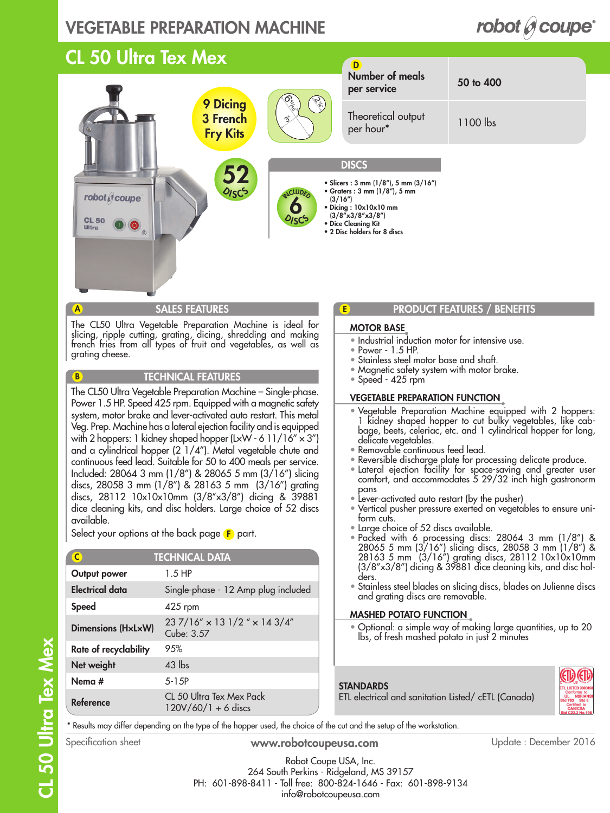### VEGETABLE PREPARATION MACHINE

#### 52 **DISCE** 9 Dicing 3 French Fry Kits Number of meals per service 50 to 400 Theoretical output per hour\* 1100 lbs D **DISCS** • Slicers : 3 mm (1/8"), 5 mm (3/16") • Graters : 3 mm (1/8"), 5 mm (3/16") • Dicing : 10x10x10 mm (3/8''x3/8''x3/8'') • Dice Cleaning Kit • 2 Disc holders for 8 discs  $\mathcal{O}_{IS}$ 6 **ICLUDE** CL 50 Ultra Tex Mex

The CL50 Ultra Vegetable Preparation Machine is ideal for slicing, ripple cutting, grating, dicing, shredding and making french fries from all types of fruit and vegetables, as well as grating cheese.

#### TECHNICAL FEATURES

The CL50 Ultra Vegetable Preparation Machine – Single-phase. Power 1.5 HP. Speed 425 rpm. Equipped with a magnetic safety system, motor brake and lever-activated auto restart. This metal Veg. Prep. Machine has a lateral ejection facility and is equipped with 2 hoppers: 1 kidney shaped hopper (LxW - 6 11/16"  $\times$  3") and a cylindrical hopper (2 1/4"). Metal vegetable chute and continuous feed lead. Suitable for 50 to 400 meals per service. Included: 28064 3 mm (1/8") & 28065 5 mm (3/16") slicing discs, 28058 3 mm (1/8") & 28163 5 mm (3/16") grating discs, 28112 10x10x10mm (3/8"x3/8") dicing & 39881 dice cleaning kits, and disc holders. Large choice of 52 discs available.

Select your options at the back page  $\left< \mathbf{F} \right>$  part.

| $\mathsf{C}$              | <b>TECHNICAL DATA</b>                             |
|---------------------------|---------------------------------------------------|
| Output power              | $1.5$ HP                                          |
| <b>Electrical data</b>    | Single-phase - 12 Amp plug included               |
| <b>Speed</b>              | 425 rpm                                           |
| <b>Dimensions (HxLxW)</b> | 237/16" × 13 1/2 " × 14 3/4"<br>Cube: 3.57        |
| Rate of recyclability     | 9.5%                                              |
| Net weight                | $43$ lbs                                          |
| Nema #                    | $5 - 1.5P$                                        |
| Reference                 | CL 50 Ultra Tex Mex Pack<br>$120V/60/1 + 6$ discs |

### SALES FEATURES **PRODUCT FEATURES PRODUCT FEATURES PRODUCT PRODUCT PRODUCT PRODUCT**

### MOTOR BASE

E

- Industrial induction motor for intensive use.
- Power 1.5 HP.
- Stainless steel motor base and shaft.
- Magnetic safety system with motor brake.
- $\bullet$  Speed 425 rpm

#### VEGETABLE PREPARATION FUNCTION

- Vegetable Preparation Machine equipped with 2 hoppers: 1 kidney shaped hopper to cut bulky vegetables, like cabbage, beets, celeriac, etc. and 1 cylindrical hopper for long, delicate vegetables.
- Removable continuous feed lead.
- Reversible discharge plate for processing delicate produce.
- Lateral ejection facility for space-saving and greater user comfort, and accommodates 5 29/32 inch high gastronorm pans
- Lever-activated auto restart (by the pusher)

ETL electrical and sanitation Listed/ cETL (Canada)

- Vertical pusher pressure exerted on vegetables to ensure uniform cuts.
- Large choice of 52 discs available.
- Packed with 6 processing discs: 28064 3 mm (1/8") & 28065 5 mm (3/16") slicing discs, 28058 3 mm (1/8") & 28163 5 mm (3/16") grating discs, 28112 10x10x10mm (3/8''x3/8'') dicing & 39881 dice cleaning kits, and disc holders.
- Stainless steel blades on slicing discs, blades on Julienne discs and grating discs are removable.

### MASHED POTATO FUNCTION

• Optional: a simple way of making large quantities, up to 20 lbs, of fresh mashed potato in just 2 minutes



\* Results may differ depending on the type of the hopper used, the choice of the cut and the setup of the workstation.

A

robot  $\theta$  coupe

**CL 50** 

B

www.robotcoupeusa.com Specification sheet Update : December 2016

Robot Coupe USA, Inc. 264 South Perkins - Ridgeland, MS 39157 PH: 601-898-8411 - Toll free: 800-824-1646 - Fax: 601-898-9134 info@robotcoupeusa.com

**STANDARDS**